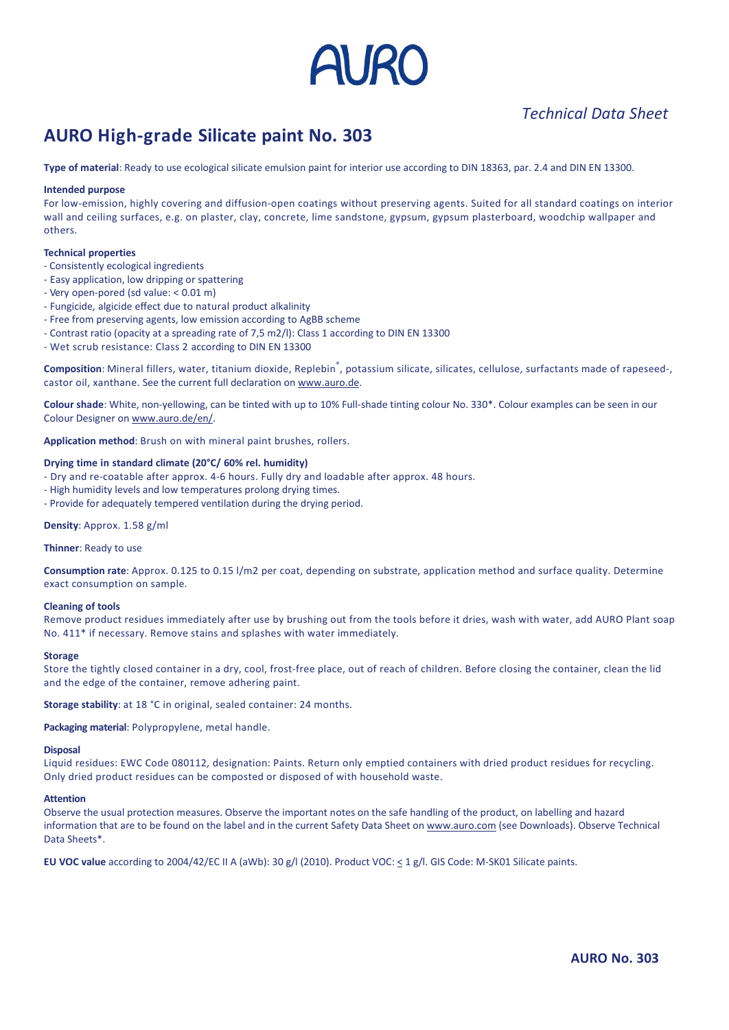

# *Data Sheet*

# **of material: Ready to use ecological silicate paint No. 303**<br> **of material: Ready to use ecological silicate emulsion paint for interior use according to DIN 18363, par. 2.4 and DIN EN 13300. AURO High-grade Silicate paint No. 303** *Iechnical Data Sheet*<br> **AURO High-grade Silicate paint No. 303**<br> **Iype of material:** Ready to use ecological silicate emulsion paint for interior use according to DIN 18363, par. 2.4 and DIN EN 13300.

# -

**AURO High-grade Silicate paint No. 303**<br>Type of material: Ready to use ecological silicate emulsion paint for interior use according to DIN 18363, par. 2.4 and DIN EN 13300.<br>Intended purpose<br>For low-emission, highly cover **Type of material:** Ready to Intended purpose<br>For low-emission, highly co<br>wall and ceiling surfaces, e<br>others.<br>**Technical properties ntended purpose**<br>
or low-emission, highly covering and divall and ceiling surfaces, e.g. on plaster,<br>
thers.<br> **echnical properties**<br>
Consistently ecological ingredients **INCRIGED PUPOSE**<br>
Sor low-emission, highly covering and diffusion-op<br>
I and ceiling surfaces, e.g. on plaster, clay, con<br>
thers.<br> **Easy application**. low dripping or spattering<br>
Fasy application. low dripping or spatterin For low-emission, nignly covering and diff<br>wall and celling surfaces, e.g. on plaster, of<br>thers.<br>**Technical properties**<br>- Consistently ecological ingredients<br>- Easy application, low dripping or spattering<br>- Very open-pored Full and celling surfaces, e.g. on plaster, clay, concrete, lime saithers.<br> **Example:**<br> **Example:**<br> **Example:**<br> **Example:**<br> **Example:**<br> **Example:**<br> **Example:**<br> **Example:**<br> **Product alkalinity**<br> **Fungicide.** algicide effect others.

# **Technical properties**

- Consistently ecological ingredients
- Easy application, low dripping or spattering
- 
- rners.<br> **echnical properties**<br>
Consistently ecological ingredients<br>
Easy application, low dripping or spattering<br>
Very open-pored (sd value: < 0.01 m)<br>
Fungicide, algicide effect due to natural product alkalinity<br>
Free fro
- 
- echnical properties<br>
Consistently ecological ingredients<br>
Easy application, low dripping or spattering<br>
Very open-pored (sd value: < 0.01 m)<br>
Fungicide, algicide effect due to natural product alkalinity<br>
Free from preservi - Very open-pored (sd value: < 0.01 m)<br>
- Fungicide, algicide effect due to natural product alkalinity<br>
- Free from preserving agents, low emission according to AgBB scheme<br>
- Contrast ratio (opacity at a spreading rate of
- 

- Easy application, low dripping or spattering<br>- Very open-pored (sd value: < 0.01 m)<br>- Fungicide, algicide effect due to natural product alkalinity<br>- Free from preserving agents, low emission according to AgBB scheme<br>- Co of the current full declaration on www.auro.de.<br>- Fungicide, algicide effect due to natural product alkalinity<br>- Free from preserving agents, low emission according to AgBB scheme<br>- Contrast ratio (opacity at a spreading r - Free from preserving agents, low emission according to AgBB scheme<br>- Contrast ratio (opacity at a spreading rate of 7,5 m2/l): Class 1 according to DIN EN 13300<br>- Wet scrub resistance: Class 2 according to DIN EN 13300<br> - Contrast ratio (opacity at a spreading rate<br>- Wet scrub resistance: Class 2 according<br>**Composition**: Mineral fillers, water, titani<br>castor oil, xanthane. See the current full d<br>**Colour shade**: White, non-yellowing, can b **Composition:** Mineral fillers, water, titanium dioxide, Replebin<sup>®</sup>, potas castor oil, xanthane. See the current full declaration on <u>www.auro.de</u>.<br> **Colour shade:** White, non-yellowing, can be tinted with up to 10% Fullcastor oil, xanthane. See the current full declaration on www.auro.de.

**i**l, xanthane. See the current full declaration on www.au<br> **shade**: White, non-yellowing, can be tinted with up to 109<br>
Designer on www.auro.de/en/.<br> **tion method**: Brush on with mineral paint brushes, roll<br> **time in stan** Colour shade: White, non-yellowing, can be tinted with up to 10% Full-shade tinting colour No. 330\*. Colour examples can be seen in our Colour Designer on www.auro.de/en/. Colour shade: White, non-yellowing, can be tinted with up to 10% Full-Colour Designer on www.auro.de/en/.<br> **Application method:** Brush on with mineral paint brushes, rollers.<br> **Drying time in standard climate (20°C/ 60% re** 

# **on method:** Brush on v<br>**me in standard climate**<br>d re-coatable after app<br>midity levels and low te<br>for adequately temper<br>Approx. 1.58 g/ml **Drying ti**

- Colour Designer on <u>www.auro.de/en/</u>.<br> **Application method**: Brush on with mineral paint brushes, rollers.<br> **Drying time in standard climate (20°C/ 60% rel. humidity)**<br>
 Dry and re-coatable after approx. 4-6 hours. Fully **Drying time in standard climat**<br>- Dry and re-coatable after ap<br>- High humidity levels and low to<br>- Provide for adequately tempe<br>**Density**: Approx. 1.58 g/ml<br>**Thinner**: Ready to use
- 
- High humidity levels and low temperatures prolong drying times.<br>- Provide for adequately tempered ventilation during the drying period.

Thinner: Ready to use

**rate: Approx. 0.125 to 0.15 l/m2 per coat, depending on substrate, application method and surface quality. Determine rate: Approx. 0.125 to 0.15 l/m2 per coat, depending on substrate, application method and surface qualit** - Provide for adequately tempered vo<br> **Density:** Approx. 1.58 g/ml<br> **Thinner:** Ready to use<br> **Consumption rate:** Approx. 0.125 to<br>
exact consumption on sample. **Density:** Approx. 1.58 g<br>**Thinner:** Ready to use<br>**Consumption rate:** Apprexact consumption on :<br>**Cleaning of tools** product residues immediately after use by brushing on substrate, application method and surface quality. Determine<br>nsumption on sample.<br>product residues immediately after use by brushing out from the tools before it dries, Thinner: Ready to use<br> **Consumption rate**: Approx. 0.125 to 0.15 l/m2 per coat, depending on substrate,<br>
exact consumption on sample.<br> **Cleaning of tools**<br>
Remove product residues immediately after use by brushing out from exact consumption on sample.

## **Cleaning of tools**

consumption on sample.<br>The tightly closed container in a dry, cool, frost-free place, out of reach of children. Before closing the container, clean the lid<br>The tightly closed container in a dry, cool, frost-free place, out **Cleaning of tools**<br>Remove product residues immediately after use by brushin<br>No. 411<sup>\*</sup> if necessary. Remove stains and splashes with wa<br>**Storage**<br>Store the tightly closed container in a dry, cool, frost-free pand the edge No. 411\* if necessary. Remove stains and splashes with water immediately.<br>**Storage**<br>Store the tightly closed container in a dry, cool, frost-free place, out of reach of children. Before closing the container, clean the lid

and the edge of the container, remove adhering paint. residues: EWC Code 080112, designation: Paints. Return only emptied containers with dried product residues for recycling.<br>
Liquid residues: EWC Code 080112, designation: Paints. Return only emptied containers with dried pr

**Storage stability:** at 18 °C in original, sealed container: 24 months.<br>**Packaging material:** Polypropylene, metal handle.

# Disp

Example Storage stability: at 18 °C in original, sealed container: 24 months.<br> **Packaging material:** Polypropylene, metal handle.<br> **Disposal**<br>
Liquid residues: EWC Code 080112, designation: Paints. Return only emptied cont **Packaging material**: Polypropylene, metal handle.<br>Di**sposal**<br>Liquid residues: EWC Code 080112, designation: Paints. Return only emptied containers with dried product residues for recycling.<br>Only dried product residues can ues: EWC Code 080112, designation: Paints. Return only emptied containers with dried product residues for recycling.<br>Disputed that are to be found on the label and in the current Safety Data Sheet on www.auro.com (see Down

**Exposal<br>Equid residues: E<br>Only dried produe<br>Attention<br>Observe the usual<br>information that a<br>Data Sheets\*.** Only dried product residues can be composted or disposed of with household waste.<br> **Attention**<br>
Observe the usual protection measures. Observe the important notes on the safe handling of the product, on labelling and hazar